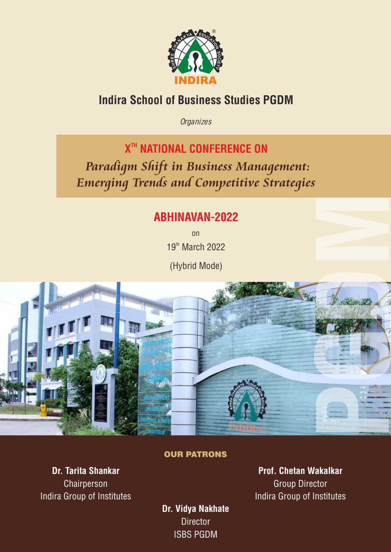

# Indira School of Business Studies PGDM

*Organizes*

**X<sup>TH</sup> NATIONAL CONFERENCE ON** 

 *Paradigm Shift in Business Management: Emerging Trends and Competitive Strategies*

# ABHINAVAN-2022

on 19th March 2022

(Hybrid Mode)



## OUR PATRONS

Dr. Tarita Shankar Chairperson Indira Group of Institutes

Prof. Chetan Wakalkar Group Director Indira Group of Institutes

Dr. Vidya Nakhate **Director** ISBS PGDM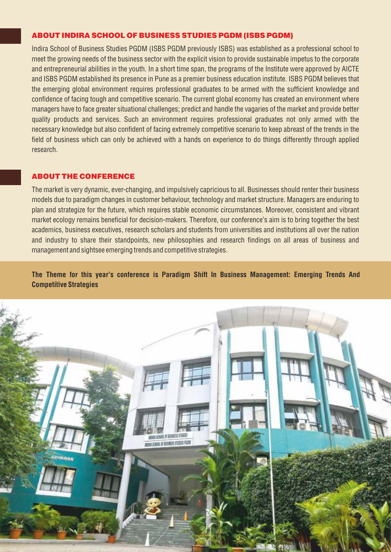#### ABOUT INDIRA SCHOOL OF BUSINESS STUDIES PGDM (ISBS PGDM)

Indira School of Business Studies PGDM (ISBS PGDM previously ISBS) was established as a professional school to meet the growing needs of the business sector with the explicit vision to provide sustainable impetus to the corporate and entrepreneurial abilities in the youth. In a short time span, the programs of the Institute were approved by AICTE and ISBS PGDM established its presence in Pune as a premier business education institute. ISBS PGDM believes that the emerging global environment requires professional graduates to be armed with the sufficient knowledge and confidence of facing tough and competitive scenario. The current global economy has created an environment where managers have to face greater situational challenges; predict and handle the vagaries of the market and provide better quality products and services. Such an environment requires professional graduates not only armed with the necessary knowledge but also confident of facing extremely competitive scenario to keep abreast of the trends in the field of business which can only be achieved with a hands on experience to do things differently through applied research.

#### ABOUT THE CONFERENCE

The market is very dynamic, ever-changing, and impulsively capricious to all. Businesses should renter their business models due to paradigm changes in customer behaviour, technology and market structure. Managers are enduring to plan and strategize for the future, which requires stable economic circumstances. Moreover, consistent and vibrant market ecology remains beneficial for decision-makers. Therefore, our conference's aim is to bring together the best academics, business executives, research scholars and students from universities and institutions all over the nation and industry to share their standpoints, new philosophies and research findings on all areas of business and management and sightsee emerging trends and competitive strategies.

The Theme for this year's conference is Paradigm Shift In Business Management: Emerging Trends And Competitive Strategies

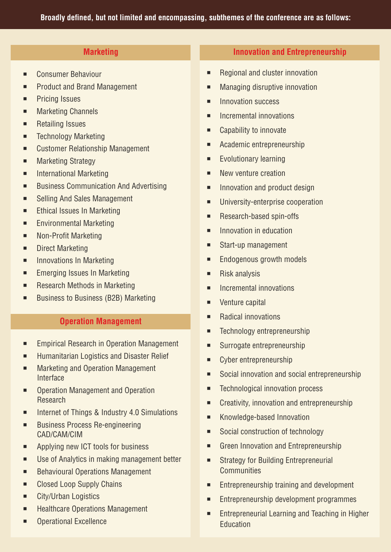- Consumer Behaviour
- **EXECUTE:** Product and Brand Management
- **EXECUTE:** Pricing Issues
- Marketing Channels
- **EXECUTE:** Retailing Issues
- **EXECUTED THE TECHNOLOGY Marketing**
- Customer Relationship Management
- Marketing Strategy
- **EXECUTE:** International Marketing
- **EXECUTE: Business Communication And Advertising**
- Selling And Sales Management
- **Ethical Issues In Marketing**
- **Environmental Marketing**
- Non-Profit Marketing
- Direct Marketing
- **EXECUTE:** Innovations In Marketing
- Emerging Issues In Marketing
- Research Methods in Marketing
- Business to Business (B2B) Marketing

# Operation Management

- Empirical Research in Operation Management
- **EXECUTE:** Humanitarian Logistics and Disaster Relief
- Marketing and Operation Management Interface
- Operation Management and Operation Research
- Internet of Things & Industry 4.0 Simulations
- Business Process Re-engineering CAD/CAM/CIM
- **EXECUTE:** Applying new ICT tools for business
- Use of Analytics in making management better
- Behavioural Operations Management
- Closed Loop Supply Chains
- **Example 2** City/Urban Logistics
- Healthcare Operations Management
- Operational Excellence

# **Marketing Innovation and Entrepreneurship**

- Regional and cluster innovation
- **■** Managing disruptive innovation
- **<u>■ Innovation success</u>**
- **EXECUTE:** Incremental innovations
- Capability to innovate
- Academic entrepreneurship
- **Exolutionary learning**
- **E** New venture creation
- **EXECUTE:** Innovation and product design
- **■** University-enterprise cooperation
- Research-based spin-offs
- **EXECUTE:** Innovation in education
- Start-up management
- **Endogenous growth models**
- Risk analysis
- **EXECUTE:** Incremental innovations
- **•** Venture capital
- Radical innovations
- **EXECUTED** Technology entrepreneurship
- Surrogate entrepreneurship
- **EXECUTE:** Cyber entrepreneurship
- Social innovation and social entrepreneurship
- Technological innovation process
- Creativity, innovation and entrepreneurship
- **EXECUTE:** Knowledge-based Innovation
- Social construction of technology
- Green Innovation and Entrepreneurship
- Strategy for Building Entrepreneurial **Communities**
- **Entrepreneurship training and development**
- **Entrepreneurship development programmes**
- **Entrepreneurial Learning and Teaching in Higher Education**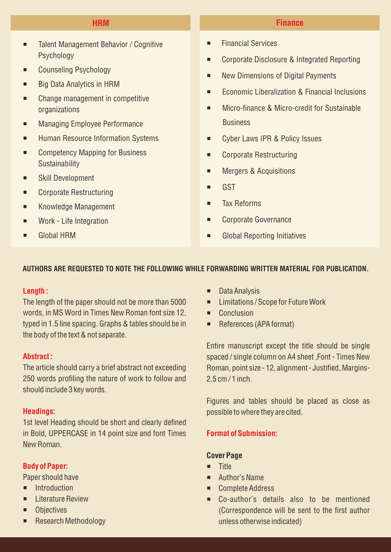- Talent Management Behavior / Cognitive Psychology
- Counseling Psychology
- **Big Data Analytics in HRM**
- Change management in competitive organizations
- **EXECUTE:** Managing Employee Performance
- **Human Resource Information Systems**
- Competency Mapping for Business **Sustainability**
- **Example 15 Skill Development**
- Corporate Restructuring
- **EXECUTE:** Knowledge Management
- **■** Work Life Integration
- **E** Global HRM

# HRM Finance

- ¡ Financial Services
- Corporate Disclosure & Integrated Reporting
- New Dimensions of Digital Payments
- Economic Liberalization & Financial Inclusions
- Micro-finance & Micro-credit for Sustainable **Business**
- Cyber Laws IPR & Policy Issues
- Corporate Restructuring
- **EXECUTE:** Mergers & Acquisitions
- ¡ GST
- **Tax Reforms**
- Corporate Governance
- **EXECUTE:** Global Reporting Initiatives

### AUTHORS ARE REQUESTED TO NOTE THE FOLLOWING WHILE FORWARDING WRITTEN MATERIAL FOR PUBLICATION.

#### Length:

The length of the paper should not be more than 5000 words, in MS Word in Times New Roman font size 12, typed in 1.5 line spacing. Graphs & tables should be in the body of the text & not separate.

# Abstract :

The article should carry a brief abstract not exceeding 250 words profiling the nature of work to follow and should include 3 key words.

### Headings:

1st level Heading should be short and clearly defined in Bold, UPPERCASE in 14 point size and font Times New Roman.

### Body of Paper:

Paper should have

- $\blacksquare$  Introduction
- **E** Literature Review
- **•** Objectives
- Research Methodology
- ¡ Data Analysis
- Limitations / Scope for Future Work
- **E** Conclusion
- References (APA format)

Entire manuscript except the title should be single spaced / single column on A4 sheet ,Font - Times New Roman, point size - 12, alignment - Justified, Margins-2.5 cm / 1 inch.

Figures and tables should be placed as close as possible to where they are cited.

### Format of Submission:

#### Cover Page

- **u** Title
- Author's Name
- Complete Address
- ¡ Co-author's details also to be mentioned (Correspondence will be sent to the first author unless otherwise indicated)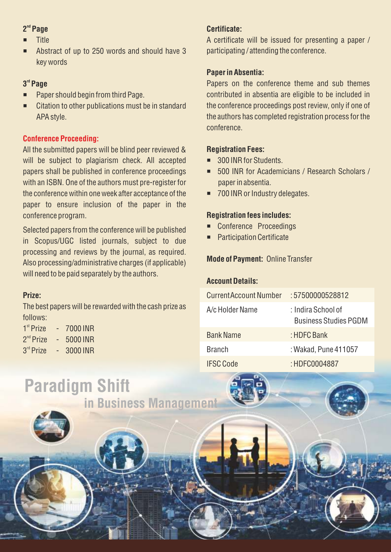# " Page

- **Title**
- Abstract of up to 250 words and should have 3 key words

# 3rd Page

- Paper should begin from third Page.
- Citation to other publications must be in standard APA style.

# Conference Proceeding:

All the submitted papers will be blind peer reviewed & will be subject to plagiarism check. All accepted papers shall be published in conference proceedings with an ISBN. One of the authors must pre-register for the conference within one week after acceptance of the paper to ensure inclusion of the paper in the conference program.

Selected papers from the conference will be published in Scopus/UGC listed journals, subject to due processing and reviews by the journal, as required. Also processing/administrative charges (if applicable) will need to be paid separately by the authors.

# Prize:

The best papers will be rewarded with the cash prize as follows:

in Business Management

| 1 <sup>st</sup> Prize | 7000 INR |
|-----------------------|----------|
| 2 <sup>nd</sup> Prize | 5000 INR |
| 3rd Prize             | 3000 INR |

Paradigm Shift

# Certificate:

A certificate will be issued for presenting a paper / participating / attending the conference.

# Paper in Absentia:

Papers on the conference theme and sub themes contributed in absentia are eligible to be included in the conference proceedings post review, only if one of the authors has completed registration process for the conference.

# Registration Fees:

- 300 INR for Students.
- ¡ 500 INR for Academicians / Research Scholars / paper in absentia.
- 700 INR or Industry delegates.

# Registration fees includes:

- Conference Proceedings
- **Participation Certificate**

# Mode of Payment: Online Transfer

# Account Details:

| <b>CurrentAccount Number</b> | :57500000528812                                    |
|------------------------------|----------------------------------------------------|
| A/c Holder Name              | : Indira School of<br><b>Business Studies PGDM</b> |
| <b>Bank Name</b>             | : HDFC Bank                                        |
| <b>Branch</b>                | : Wakad, Pune 411057                               |
| <b>IFSC Code</b>             | : HDFC0004887                                      |